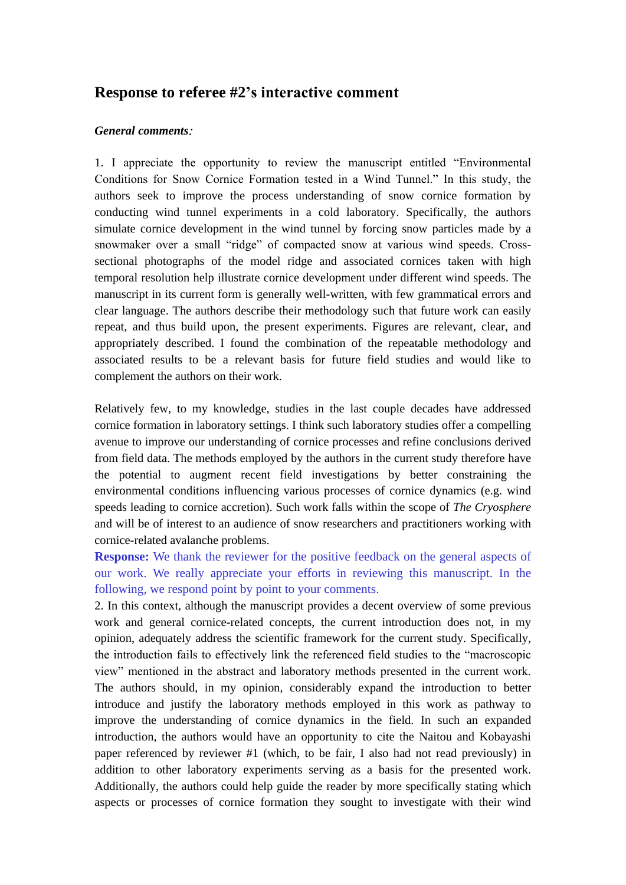## **Response to referee #2's interactive comment**

## *General comments***:**

1. I appreciate the opportunity to review the manuscript entitled "Environmental Conditions for Snow Cornice Formation tested in a Wind Tunnel." In this study, the authors seek to improve the process understanding of snow cornice formation by conducting wind tunnel experiments in a cold laboratory. Specifically, the authors simulate cornice development in the wind tunnel by forcing snow particles made by a snowmaker over a small "ridge" of compacted snow at various wind speeds. Crosssectional photographs of the model ridge and associated cornices taken with high temporal resolution help illustrate cornice development under different wind speeds. The manuscript in its current form is generally well-written, with few grammatical errors and clear language. The authors describe their methodology such that future work can easily repeat, and thus build upon, the present experiments. Figures are relevant, clear, and appropriately described. I found the combination of the repeatable methodology and associated results to be a relevant basis for future field studies and would like to complement the authors on their work.

Relatively few, to my knowledge, studies in the last couple decades have addressed cornice formation in laboratory settings. I think such laboratory studies offer a compelling avenue to improve our understanding of cornice processes and refine conclusions derived from field data. The methods employed by the authors in the current study therefore have the potential to augment recent field investigations by better constraining the environmental conditions influencing various processes of cornice dynamics (e.g. wind speeds leading to cornice accretion). Such work falls within the scope of *The Cryosphere*  and will be of interest to an audience of snow researchers and practitioners working with cornice-related avalanche problems.

**Response:** We thank the reviewer for the positive feedback on the general aspects of our work. We really appreciate your efforts in reviewing this manuscript. In the following, we respond point by point to your comments.

2. In this context, although the manuscript provides a decent overview of some previous work and general cornice-related concepts, the current introduction does not, in my opinion, adequately address the scientific framework for the current study. Specifically, the introduction fails to effectively link the referenced field studies to the "macroscopic view" mentioned in the abstract and laboratory methods presented in the current work. The authors should, in my opinion, considerably expand the introduction to better introduce and justify the laboratory methods employed in this work as pathway to improve the understanding of cornice dynamics in the field. In such an expanded introduction, the authors would have an opportunity to cite the Naitou and Kobayashi paper referenced by reviewer #1 (which, to be fair, I also had not read previously) in addition to other laboratory experiments serving as a basis for the presented work. Additionally, the authors could help guide the reader by more specifically stating which aspects or processes of cornice formation they sought to investigate with their wind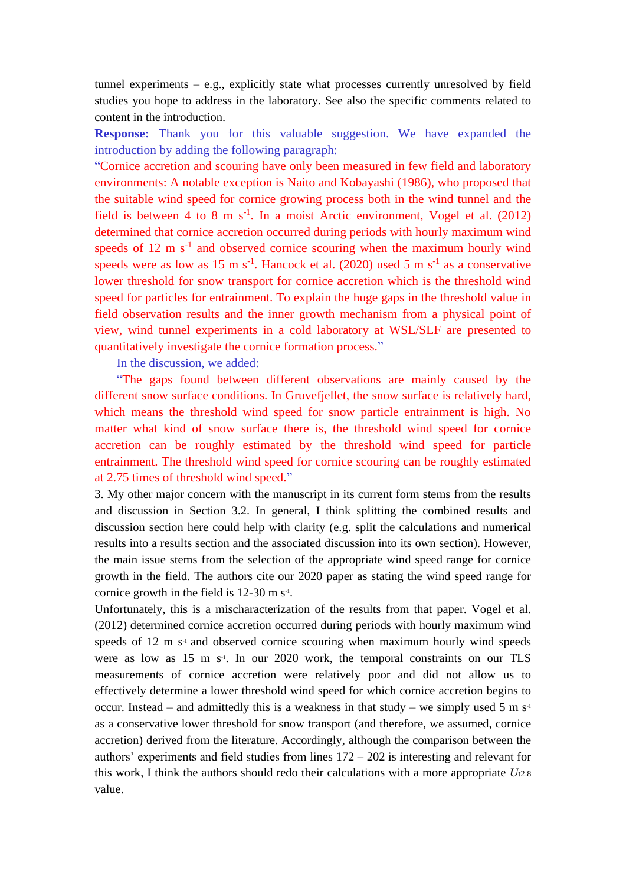tunnel experiments  $-$  e.g., explicitly state what processes currently unresolved by field studies you hope to address in the laboratory. See also the specific comments related to content in the introduction.

**Response:** Thank you for this valuable suggestion. We have expanded the introduction by adding the following paragraph:

"Cornice accretion and scouring have only been measured in few field and laboratory environments: A notable exception is Naito and Kobayashi (1986), who proposed that the suitable wind speed for cornice growing process both in the wind tunnel and the field is between 4 to 8 m  $s^{-1}$ . In a moist Arctic environment, Vogel et al. (2012) determined that cornice accretion occurred during periods with hourly maximum wind speeds of  $12 \text{ m s}^{-1}$  and observed cornice scouring when the maximum hourly wind speeds were as low as 15 m  $s^{-1}$ . Hancock et al. (2020) used 5 m  $s^{-1}$  as a conservative lower threshold for snow transport for cornice accretion which is the threshold wind speed for particles for entrainment. To explain the huge gaps in the threshold value in field observation results and the inner growth mechanism from a physical point of view, wind tunnel experiments in a cold laboratory at WSL/SLF are presented to quantitatively investigate the cornice formation process."

In the discussion, we added:

"The gaps found between different observations are mainly caused by the different snow surface conditions. In Gruvefjellet, the snow surface is relatively hard, which means the threshold wind speed for snow particle entrainment is high. No matter what kind of snow surface there is, the threshold wind speed for cornice accretion can be roughly estimated by the threshold wind speed for particle entrainment. The threshold wind speed for cornice scouring can be roughly estimated at 2.75 times of threshold wind speed."

3. My other major concern with the manuscript in its current form stems from the results and discussion in Section 3.2. In general, I think splitting the combined results and discussion section here could help with clarity (e.g. split the calculations and numerical results into a results section and the associated discussion into its own section). However, the main issue stems from the selection of the appropriate wind speed range for cornice growth in the field. The authors cite our 2020 paper as stating the wind speed range for cornice growth in the field is  $12-30$  m s<sup>-1</sup>.

Unfortunately, this is a mischaracterization of the results from that paper. Vogel et al. (2012) determined cornice accretion occurred during periods with hourly maximum wind speeds of 12 m s<sup>-1</sup> and observed cornice scouring when maximum hourly wind speeds were as low as 15 m s<sup>-1</sup>. In our 2020 work, the temporal constraints on our TLS measurements of cornice accretion were relatively poor and did not allow us to effectively determine a lower threshold wind speed for which cornice accretion begins to occur. Instead – and admittedly this is a weakness in that study – we simply used 5 m  $s<sup>1</sup>$ as a conservative lower threshold for snow transport (and therefore, we assumed, cornice accretion) derived from the literature. Accordingly, although the comparison between the authors' experiments and field studies from lines 172 – 202 is interesting and relevant for this work, I think the authors should redo their calculations with a more appropriate  $U_{12.8}$ value.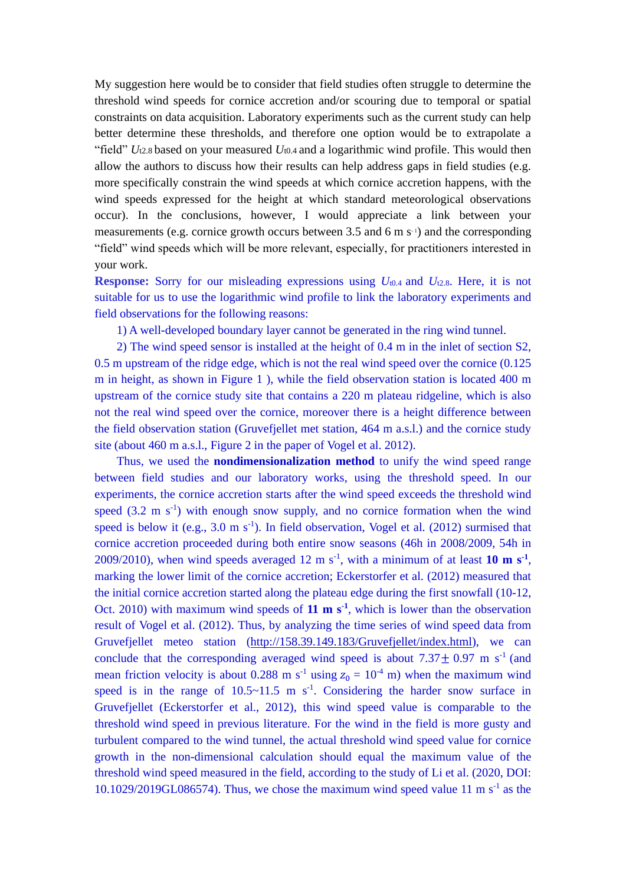My suggestion here would be to consider that field studies often struggle to determine the threshold wind speeds for cornice accretion and/or scouring due to temporal or spatial constraints on data acquisition. Laboratory experiments such as the current study can help better determine these thresholds, and therefore one option would be to extrapolate a "field" *U*t2.8 based on your measured *U*t0.4 and a logarithmic wind profile. This would then allow the authors to discuss how their results can help address gaps in field studies (e.g. more specifically constrain the wind speeds at which cornice accretion happens, with the wind speeds expressed for the height at which standard meteorological observations occur). In the conclusions, however, I would appreciate a link between your measurements (e.g. cornice growth occurs between  $3.5$  and  $6 \text{ m s}^{-1}$ ) and the corresponding "field" wind speeds which will be more relevant, especially, for practitioners interested in your work.

**Response:** Sorry for our misleading expressions using *U*t0.4 and *U*t2.8. Here, it is not suitable for us to use the logarithmic wind profile to link the laboratory experiments and field observations for the following reasons:

1) A well-developed boundary layer cannot be generated in the ring wind tunnel.

2) The wind speed sensor is installed at the height of 0.4 m in the inlet of section S2, 0.5 m upstream of the ridge edge, which is not the real wind speed over the cornice (0.125 m in height, as shown in Figure 1 ), while the field observation station is located 400 m upstream of the cornice study site that contains a 220 m plateau ridgeline, which is also not the real wind speed over the cornice, moreover there is a height difference between the field observation station (Gruvefjellet met station, 464 m a.s.l.) and the cornice study site (about 460 m a.s.l., Figure 2 in the paper of Vogel et al. 2012).

Thus, we used the **nondimensionalization method** to unify the wind speed range between field studies and our laboratory works, using the threshold speed. In our experiments, the cornice accretion starts after the wind speed exceeds the threshold wind speed  $(3.2 \text{ m s}^{-1})$  with enough snow supply, and no cornice formation when the wind speed is below it (e.g.,  $3.0 \text{ m s}^{-1}$ ). In field observation, Vogel et al. (2012) surmised that cornice accretion proceeded during both entire snow seasons (46h in 2008/2009, 54h in 2009/2010), when wind speeds averaged 12 m s<sup>-1</sup>, with a minimum of at least 10 m s<sup>-1</sup>, marking the lower limit of the cornice accretion; Eckerstorfer et al. (2012) measured that the initial cornice accretion started along the plateau edge during the first snowfall (10-12, Oct. 2010) with maximum wind speeds of  $11 \text{ m s}^1$ , which is lower than the observation result of Vogel et al. (2012). Thus, by analyzing the time series of wind speed data from Gruvefjellet meteo station [\(http://158.39.149.183/Gruvefjellet/index.html\)](http://158.39.149.183/Gruvefjellet/index.html), we can conclude that the corresponding averaged wind speed is about  $7.37 \pm 0.97$  m s<sup>-1</sup> (and mean friction velocity is about 0.288 m s<sup>-1</sup> using  $z_0 = 10^{-4}$  m) when the maximum wind speed is in the range of  $10.5 \sim 11.5$  m s<sup>-1</sup>. Considering the harder snow surface in Gruvefjellet (Eckerstorfer et al., 2012), this wind speed value is comparable to the threshold wind speed in previous literature. For the wind in the field is more gusty and turbulent compared to the wind tunnel, the actual threshold wind speed value for cornice growth in the non-dimensional calculation should equal the maximum value of the threshold wind speed measured in the field, according to the study of Li et al. (2020, DOI:  $10.1029/2019$ GL086574). Thus, we chose the maximum wind speed value 11 m s<sup>-1</sup> as the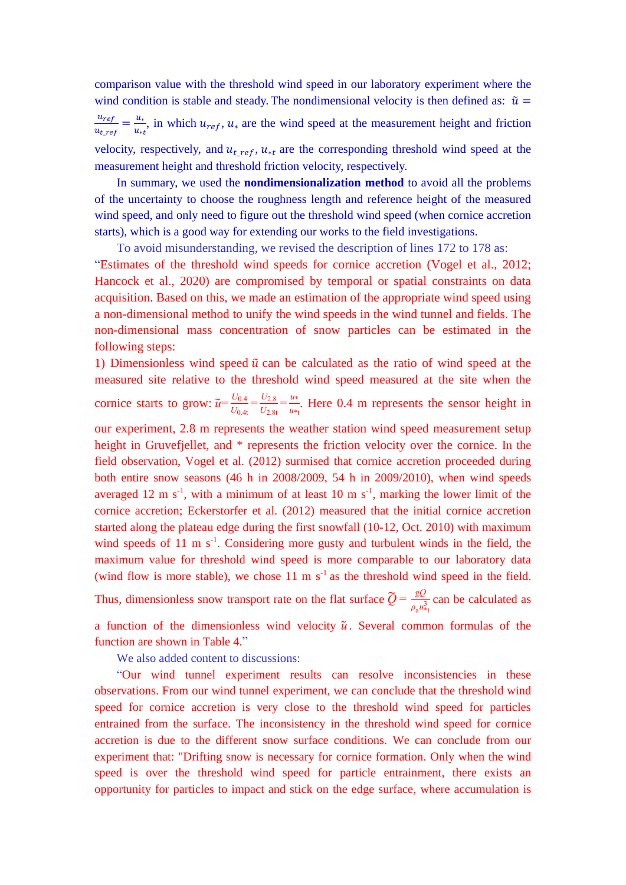comparison value with the threshold wind speed in our laboratory experiment where the wind condition is stable and steady. The nondimensional velocity is then defined as:  $\tilde{u} =$  $u_{ref}$  $\frac{u_{ref}}{u_{t\_ref}} = \frac{u_*}{u_{*}}$  $\frac{u_{*}}{u_{*t}}$ , in which  $u_{ref}$ ,  $u_{*}$  are the wind speed at the measurement height and friction velocity, respectively, and  $u_{t\_ref}$ ,  $u_{*t}$  are the corresponding threshold wind speed at the measurement height and threshold friction velocity, respectively.

In summary, we used the **nondimensionalization method** to avoid all the problems of the uncertainty to choose the roughness length and reference height of the measured wind speed, and only need to figure out the threshold wind speed (when cornice accretion starts), which is a good way for extending our works to the field investigations.

To avoid misunderstanding, we revised the description of lines 172 to 178 as: "Estimates of the threshold wind speeds for cornice accretion (Vogel et al., 2012; Hancock et al., 2020) are compromised by temporal or spatial constraints on data acquisition. Based on this, we made an estimation of the appropriate wind speed using a non-dimensional method to unify the wind speeds in the wind tunnel and fields. The non-dimensional mass concentration of snow particles can be estimated in the following steps:

1) Dimensionless wind speed  $\tilde{u}$  can be calculated as the ratio of wind speed at the measured site relative to the threshold wind speed measured at the site when the cornice starts to grow:  $\tilde{u} = \frac{U_{0.4}}{U_{0.4}}$  $\frac{U_{0.4}}{U_{0.4t}} = \frac{U_{2.8}}{U_{2.8t}}$  $\frac{U_{2.8}}{U_{2.8t}} = \frac{u*}{u*}$  $\frac{u^*}{u^*t}$ . Here 0.4 m represents the sensor height in our experiment, 2.8 m represents the weather station wind speed measurement setup height in Gruvefjellet, and  $*$  represents the friction velocity over the cornice. In the field observation, Vogel et al. (2012) surmised that cornice accretion proceeded during both entire snow seasons (46 h in 2008/2009, 54 h in 2009/2010), when wind speeds averaged 12 m  $s^{-1}$ , with a minimum of at least 10 m  $s^{-1}$ , marking the lower limit of the cornice accretion; Eckerstorfer et al. (2012) measured that the initial cornice accretion started along the plateau edge during the first snowfall (10-12, Oct. 2010) with maximum wind speeds of  $11 \text{ m s}^{-1}$ . Considering more gusty and turbulent winds in the field, the maximum value for threshold wind speed is more comparable to our laboratory data (wind flow is more stable), we chose 11 m  $s^{-1}$  as the threshold wind speed in the field. Thus, dimensionless snow transport rate on the flat surface  $\widetilde{Q} = \frac{gQ}{g}$  $\frac{gQ}{\rho_a u_{\tau t}^3}$  can be calculated as

a function of the dimensionless wind velocity  $\tilde{u}$ . Several common formulas of the function are shown in Table 4."

We also added content to discussions:

"Our wind tunnel experiment results can resolve inconsistencies in these observations. From our wind tunnel experiment, we can conclude that the threshold wind speed for cornice accretion is very close to the threshold wind speed for particles entrained from the surface. The inconsistency in the threshold wind speed for cornice accretion is due to the different snow surface conditions. We can conclude from our experiment that: "Drifting snow is necessary for cornice formation. Only when the wind speed is over the threshold wind speed for particle entrainment, there exists an opportunity for particles to impact and stick on the edge surface, where accumulation is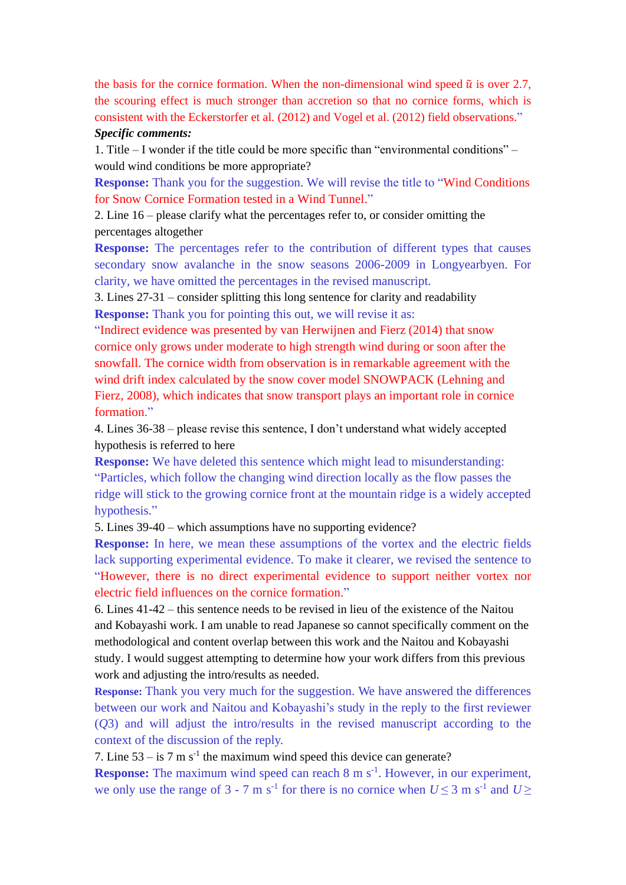the basis for the cornice formation. When the non-dimensional wind speed  $\tilde{u}$  is over 2.7, the scouring effect is much stronger than accretion so that no cornice forms, which is consistent with the Eckerstorfer et al. (2012) and Vogel et al. (2012) field observations." *Specific comments:* 

1. Title – I wonder if the title could be more specific than "environmental conditions" – would wind conditions be more appropriate?

**Response:** Thank you for the suggestion. We will revise the title to "Wind Conditions" for Snow Cornice Formation tested in a Wind Tunnel."

2. Line 16 – please clarify what the percentages refer to, or consider omitting the percentages altogether

**Response:** The percentages refer to the contribution of different types that causes secondary snow avalanche in the snow seasons 2006-2009 in Longyearbyen. For clarity, we have omitted the percentages in the revised manuscript.

3. Lines 27-31 – consider splitting this long sentence for clarity and readability **Response:** Thank you for pointing this out, we will revise it as:

"Indirect evidence was presented by van Herwijnen and Fierz (2014) that snow cornice only grows under moderate to high strength wind during or soon after the snowfall. The cornice width from observation is in remarkable agreement with the wind drift index calculated by the snow cover model SNOWPACK (Lehning and Fierz, 2008), which indicates that snow transport plays an important role in cornice formation."

4. Lines 36-38 – please revise this sentence, I don't understand what widely accepted hypothesis is referred to here

**Response:** We have deleted this sentence which might lead to misunderstanding: "Particles, which follow the changing wind direction locally as the flow passes the ridge will stick to the growing cornice front at the mountain ridge is a widely accepted hypothesis."

5. Lines 39-40 – which assumptions have no supporting evidence?

**Response:** In here, we mean these assumptions of the vortex and the electric fields lack supporting experimental evidence. To make it clearer, we revised the sentence to "However, there is no direct experimental evidence to support neither vortex nor electric field influences on the cornice formation."

6. Lines 41-42 – this sentence needs to be revised in lieu of the existence of the Naitou and Kobayashi work. I am unable to read Japanese so cannot specifically comment on the methodological and content overlap between this work and the Naitou and Kobayashi study. I would suggest attempting to determine how your work differs from this previous work and adjusting the intro/results as needed.

**Response:** Thank you very much for the suggestion. We have answered the differences between our work and Naitou and Kobayashi's study in the reply to the first reviewer (*Q*3) and will adjust the intro/results in the revised manuscript according to the context of the discussion of the reply.

7. Line  $53 - is 7$  m s<sup>-1</sup> the maximum wind speed this device can generate?

**Response:** The maximum wind speed can reach 8 m s<sup>-1</sup>. However, in our experiment, we only use the range of 3 - 7 m s<sup>-1</sup> for there is no cornice when  $U \le 3$  m s<sup>-1</sup> and  $U \ge$